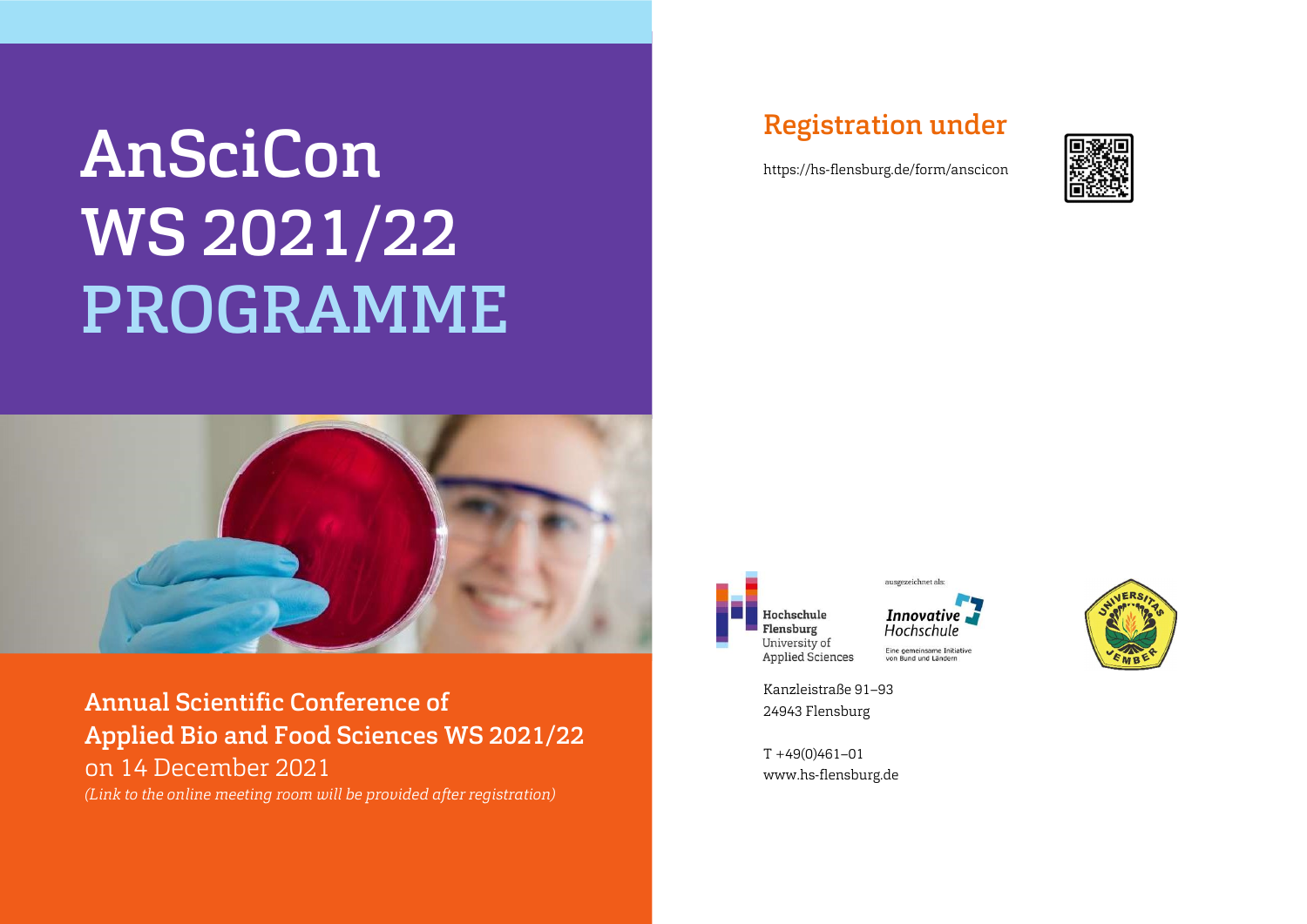# AnSciCon WS 2021/22 PROGRAMME



Annual Scientific Conference of Applied Bio and Food Sciences WS 2021/22 on 14 December 2021

(Link to the online meeting room will be provided after registration)

#### Registration under

https://hs-flensburg.de/form/anscicon







Kanzleistraße 91–93 24943 Flensburg

 $T + 49(0)461 - 01$ www.hs-flensburg.de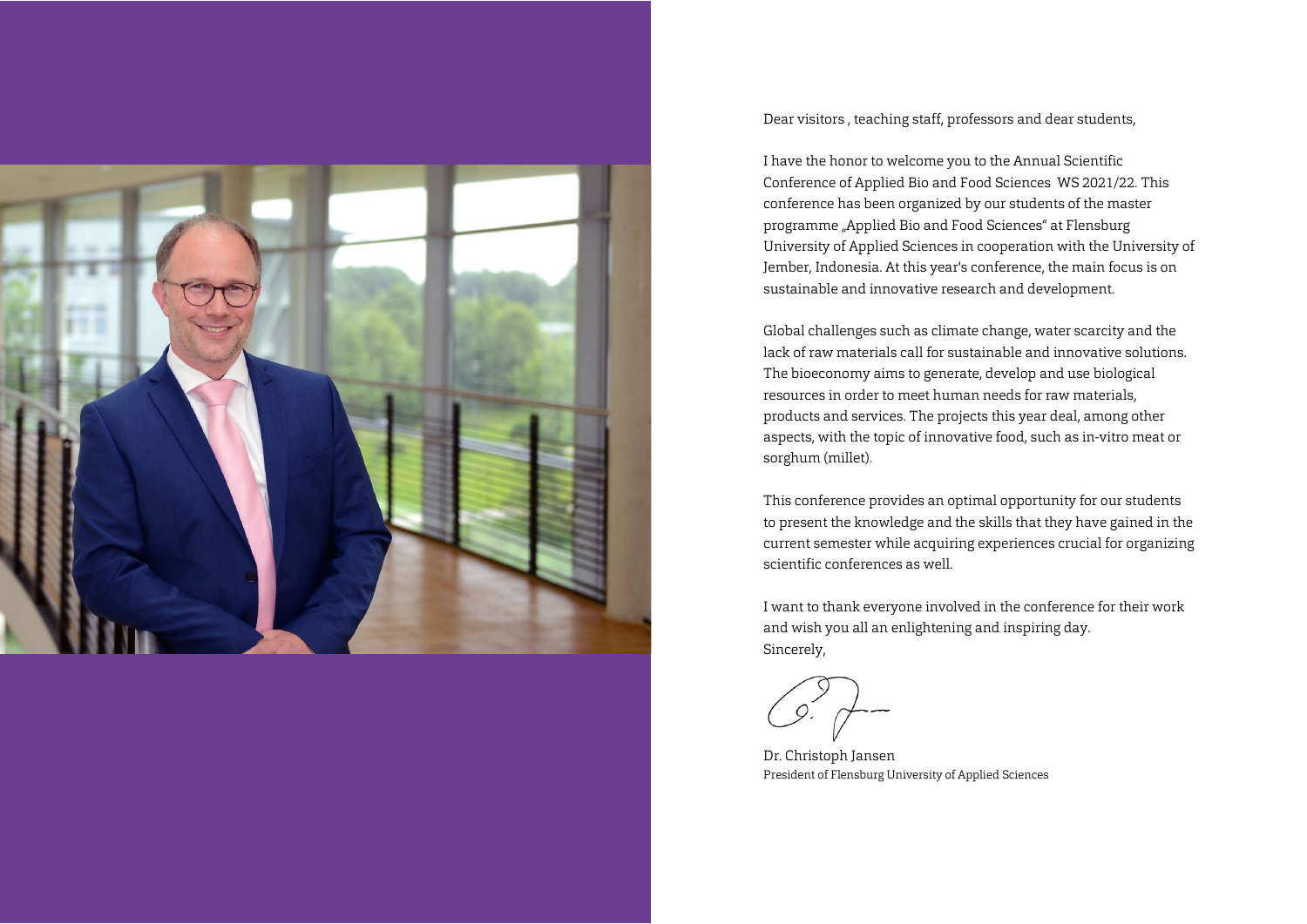

Dear visitors , teaching staff, professors and dear students,

I have the honor to welcome you to the Annual Scientific Conference of Applied Bio and Food Sciences WS 2021/22. This conference has been organized by our students of the master programme "Applied Bio and Food Sciences" at Flensburg University of Applied Sciences in cooperation with the University of Jember, Indonesia. At this year's conference, the main focus is on sustainable and innovative research and development.

Global challenges such as climate change, water scarcity and the lack of raw materials call for sustainable and innovative solutions. The bioeconomy aims to generate, develop and use biological resources in order to meet human needs for raw materials, products and services. The projects this year deal, among other aspects, with the topic of innovative food, such as in-vitro meat or sorghum (millet).

This conference provides an optimal opportunity for our students to present the knowledge and the skills that they have gained in the current semester while acquiring experiences crucial for organizing scientific conferences as well.

I want to thank everyone involved in the conference for their work and wish you all an enlightening and inspiring day. Sincerely,

Dr. Christoph Jansen President of Flensburg University of Applied Sciences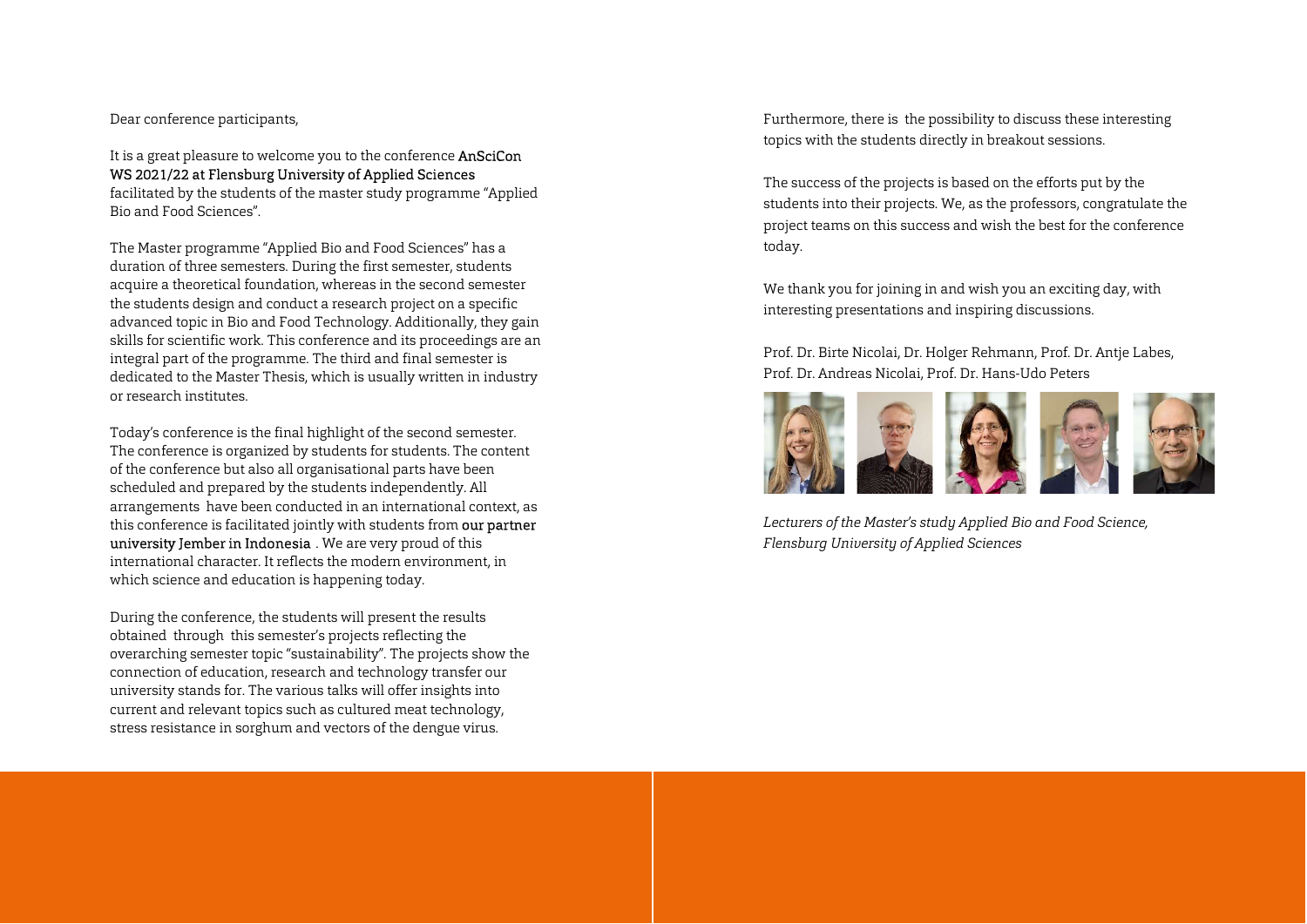Dear conference participants,

It is a great pleasure to welcome you to the conference **AnSciCon** WS 2021/22 at Flensburg University of Applied Sciences facilitated by the students of the master study programme "Applied

Bio and Food Sciences".

The Master programme "Applied Bio and Food Sciences" has a duration of three semesters. During the first semester, students acquire a theoretical foundation, whereas in the second semester the students design and conduct a research project on a specific advanced topic in Bio and Food Technology. Additionally, they gain skills for scientific work. This conference and its proceedings are an integral part of the programme. The third and final semester is dedicated to the Master Thesis, which is usually written in industry or research institutes.

Today's conference is the final highlight of the second semester. The conference is organized by students for students. The content of the conference but also all organisational parts have been scheduled and prepared by the students independently. All arrangements have been conducted in an international context, as this conference is facilitated jointly with students from our partner university Jember in Indonesia . We are very proud of this international character. It reflects the modern environment, in which science and education is happening today.

During the conference, the students will present the results obtained through this semester's projects reflecting the overarching semester topic "sustainability". The projects show the connection of education, research and technology transfer our university stands for. The various talks will offer insights into current and relevant topics such as cultured meat technology, stress resistance in sorghum and vectors of the dengue virus.

Furthermore, there is the possibility to discuss these interesting topics with the students directly in breakout sessions.

The success of the projects is based on the efforts put by the students into their projects. We, as the professors, congratulate the project teams on this success and wish the best for the conference today.

We thank you for joining in and wish you an exciting day, with interesting presentations and inspiring discussions.

Prof. Dr. Birte Nicolai, Dr. Holger Rehmann, Prof. Dr. Antje Labes, Prof. Dr. Andreas Nicolai, Prof. Dr. Hans-Udo Peters



Lecturers of the Master's study Applied Bio and Food Science, Flensburg University of Applied Sciences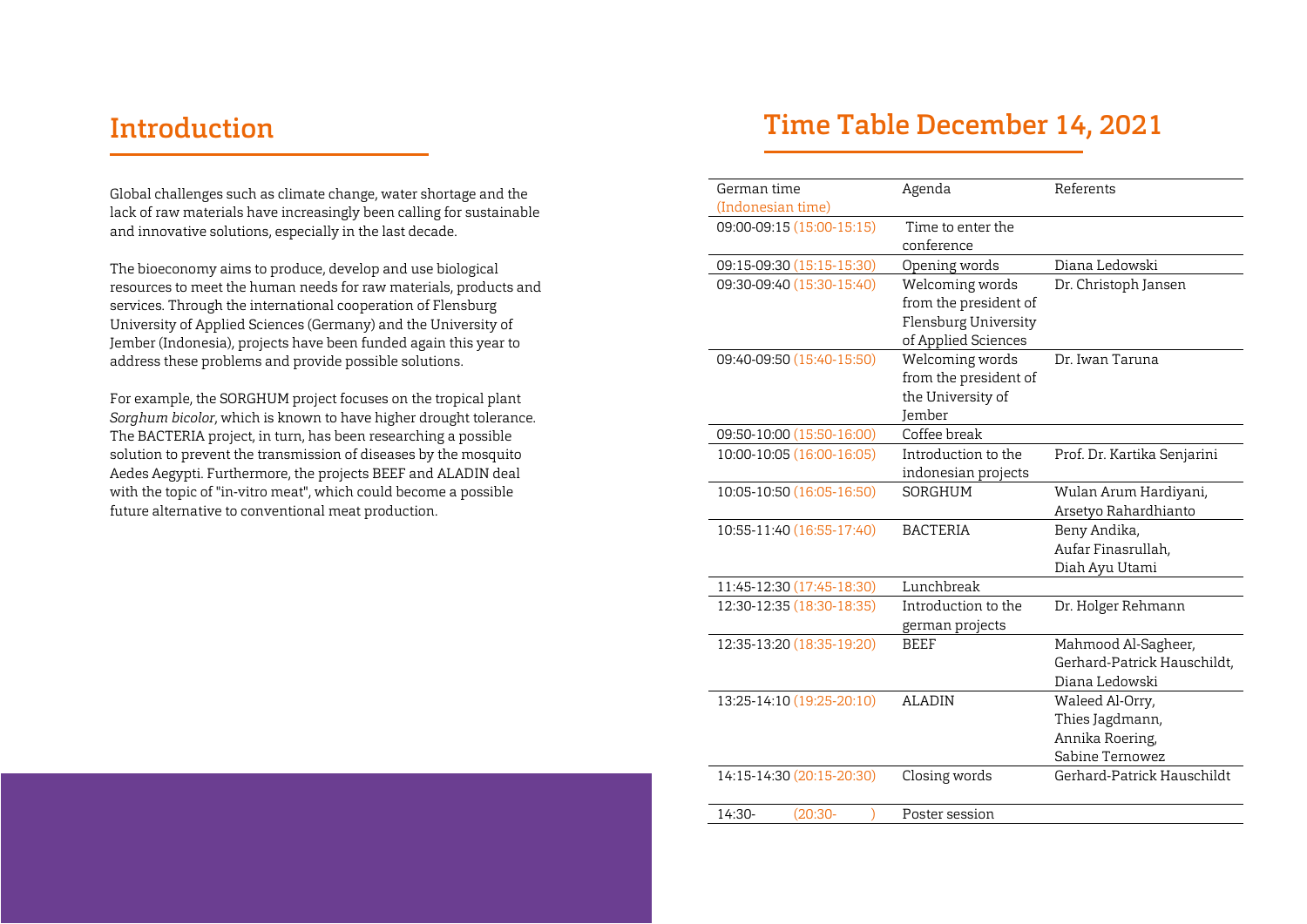#### Introduction

Global challenges such as climate change, water shortage and the lack of raw materials have increasingly been calling for sustainable and innovative solutions, especially in the last decade.

The bioeconomy aims to produce, develop and use biological resources to meet the human needs for raw materials, products and services. Through the international cooperation of Flensburg University of Applied Sciences (Germany) and the University of Jember (Indonesia), projects have been funded again this year to address these problems and provide possible solutions.

For example, the SORGHUM project focuses on the tropical plant Sorghum bicolor, which is known to have higher drought tolerance. The BACTERIA project, in turn, has been researching a possible solution to prevent the transmission of diseases by the mosquito Aedes Aegypti. Furthermore, the projects BEEF and ALADIN deal with the topic of "in-vitro meat", which could become a possible future alternative to conventional meat production.

### Time Table December 14, 2021

| German time       |                           | Agenda | Referents             |                             |
|-------------------|---------------------------|--------|-----------------------|-----------------------------|
| (Indonesian time) |                           |        |                       |                             |
|                   | 09:00-09:15 (15:00-15:15) |        | Time to enter the     |                             |
|                   |                           |        | conference            |                             |
|                   | 09:15-09:30 (15:15-15:30) |        | Opening words         | Diana Ledowski              |
|                   | 09:30-09:40 (15:30-15:40) |        | Welcoming words       | Dr. Christoph Jansen        |
|                   |                           |        | from the president of |                             |
|                   |                           |        | Flensburg University  |                             |
|                   |                           |        | of Applied Sciences   |                             |
|                   | 09:40-09:50 (15:40-15:50) |        | Welcoming words       | Dr. Iwan Taruna             |
|                   |                           |        | from the president of |                             |
|                   |                           |        | the University of     |                             |
|                   |                           |        | <b>Jember</b>         |                             |
|                   | 09:50-10:00 (15:50-16:00) |        | Coffee break          |                             |
|                   | 10:00-10:05 (16:00-16:05) |        | Introduction to the   | Prof. Dr. Kartika Senjarini |
|                   |                           |        | indonesian projects   |                             |
|                   | 10:05-10:50 (16:05-16:50) |        | SORGHUM               | Wulan Arum Hardiyani,       |
|                   |                           |        |                       | Arsetyo Rahardhianto        |
|                   | 10:55-11:40 (16:55-17:40) |        | <b>BACTERIA</b>       | Beny Andika,                |
|                   |                           |        |                       | Aufar Finasrullah,          |
|                   |                           |        |                       | Diah Ayu Utami              |
|                   | 11:45-12:30 (17:45-18:30) |        | Lunchbreak            |                             |
|                   | 12:30-12:35 (18:30-18:35) |        | Introduction to the   | Dr. Holger Rehmann          |
|                   |                           |        | german projects       |                             |
|                   | 12:35-13:20 (18:35-19:20) |        | <b>BEEF</b>           | Mahmood Al-Sagheer,         |
|                   |                           |        |                       | Gerhard-Patrick Hauschildt, |
|                   |                           |        |                       | Diana Ledowski              |
|                   | 13:25-14:10 (19:25-20:10) |        | <b>ALADIN</b>         | Waleed Al-Orry,             |
|                   |                           |        |                       | Thies Jagdmann,             |
|                   |                           |        |                       | Annika Roering,             |
|                   |                           |        |                       | Sabine Ternowez             |
|                   | 14:15-14:30 (20:15-20:30) |        | Closing words         | Gerhard-Patrick Hauschildt  |
|                   |                           |        |                       |                             |
| 14:30-            | (20:30-                   |        | Poster session        |                             |
|                   |                           |        |                       |                             |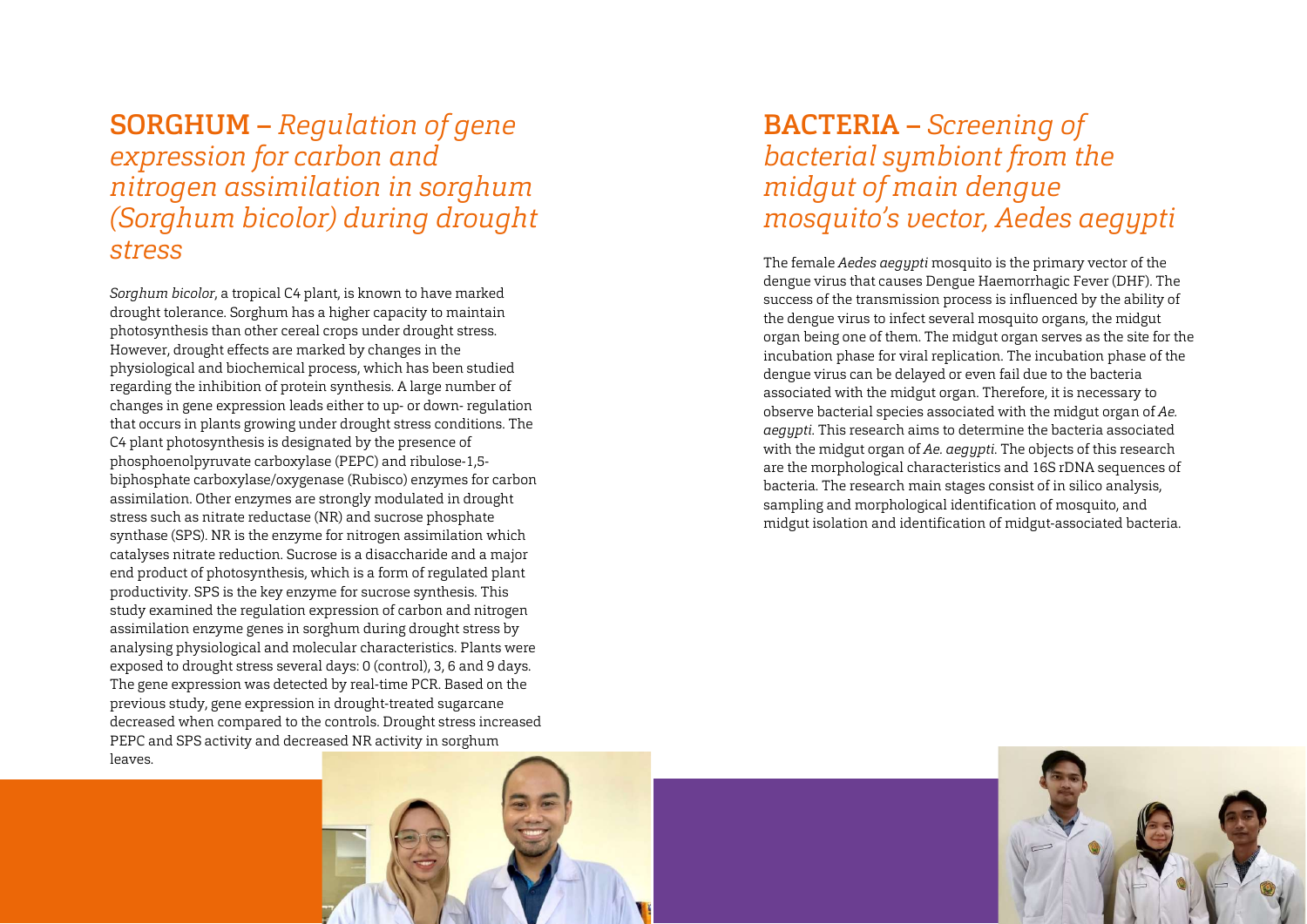SORGHUM – Regulation of gene expression for carbon and nitrogen assimilation in sorghum (Sorghum bicolor) during drought stress

Sorghum bicolor, a tropical C4 plant, is known to have marked drought tolerance. Sorghum has a higher capacity to maintain photosynthesis than other cereal crops under drought stress. However, drought effects are marked by changes in the physiological and biochemical process, which has been studied regarding the inhibition of protein synthesis. A large number of changes in gene expression leads either to up- or down- regulation that occurs in plants growing under drought stress conditions. The C4 plant photosynthesis is designated by the presence of phosphoenolpyruvate carboxylase (PEPC) and ribulose-1,5 biphosphate carboxylase/oxygenase (Rubisco) enzymes for carbon assimilation. Other enzymes are strongly modulated in drought stress such as nitrate reductase (NR) and sucrose phosphate synthase (SPS). NR is the enzyme for nitrogen assimilation which catalyses nitrate reduction. Sucrose is a disaccharide and a major end product of photosynthesis, which is a form of regulated plant productivity. SPS is the key enzyme for sucrose synthesis. This study examined the regulation expression of carbon and nitrogen assimilation enzyme genes in sorghum during drought stress by analysing physiological and molecular characteristics. Plants were exposed to drought stress several days: 0 (control), 3, 6 and 9 days. The gene expression was detected by real-time PCR. Based on the previous study, gene expression in drought-treated sugarcane decreased when compared to the controls. Drought stress increased PEPC and SPS activity and decreased NR activity in sorghum leaves.

# BACTERIA – Screening of bacterial symbiont from the midgut of main dengue mosquito's vector, Aedes aegypti

The female Aedes aegypti mosquito is the primary vector of the dengue virus that causes Dengue Haemorrhagic Fever (DHF). The success of the transmission process is influenced by the ability of the dengue virus to infect several mosquito organs, the midgut organ being one of them. The midgut organ serves as the site for the incubation phase for viral replication. The incubation phase of the dengue virus can be delayed or even fail due to the bacteria associated with the midgut organ. Therefore, it is necessary to observe bacterial species associated with the midgut organ of Ae. aegypti. This research aims to determine the bacteria associated with the midgut organ of Ae. aegypti. The objects of this research are the morphological characteristics and 16S rDNA sequences of bacteria. The research main stages consist of in silico analysis, sampling and morphological identification of mosquito, and midgut isolation and identification of midgut-associated bacteria.